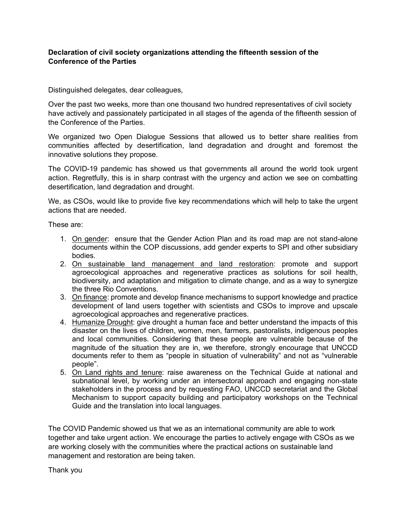## **Declaration of civil society organizations attending the fifteenth session of the Conference of the Parties**

Distinguished delegates, dear colleagues,

Over the past two weeks, more than one thousand two hundred representatives of civil society have actively and passionately participated in all stages of the agenda of the fifteenth session of the Conference of the Parties.

We organized two Open Dialogue Sessions that allowed us to better share realities from communities affected by desertification, land degradation and drought and foremost the innovative solutions they propose.

The COVID-19 pandemic has showed us that governments all around the world took urgent action. Regretfully, this is in sharp contrast with the urgency and action we see on combatting desertification, land degradation and drought.

We, as CSOs, would like to provide five key recommendations which will help to take the urgent actions that are needed.

These are:

- 1. On gender: ensure that the Gender Action Plan and its road map are not stand-alone documents within the COP discussions, add gender experts to SPI and other subsidiary bodies.
- 2. On sustainable land management and land restoration: promote and support agroecological approaches and regenerative practices as solutions for soil health, biodiversity, and adaptation and mitigation to climate change, and as a way to synergize the three Rio Conventions.
- 3. On finance: promote and develop finance mechanisms to support knowledge and practice development of land users together with scientists and CSOs to improve and upscale agroecological approaches and regenerative practices.
- 4. Humanize Drought: give drought a human face and better understand the impacts of this disaster on the lives of children, women, men, farmers, pastoralists, indigenous peoples and local communities. Considering that these people are vulnerable because of the magnitude of the situation they are in, we therefore, strongly encourage that UNCCD documents refer to them as "people in situation of vulnerability" and not as "vulnerable people".
- 5. On Land rights and tenure: raise awareness on the Technical Guide at national and subnational level, by working under an intersectoral approach and engaging non-state stakeholders in the process and by requesting FAO, UNCCD secretariat and the Global Mechanism to support capacity building and participatory workshops on the Technical Guide and the translation into local languages.

The COVID Pandemic showed us that we as an international community are able to work together and take urgent action. We encourage the parties to actively engage with CSOs as we are working closely with the communities where the practical actions on sustainable land management and restoration are being taken.

Thank you